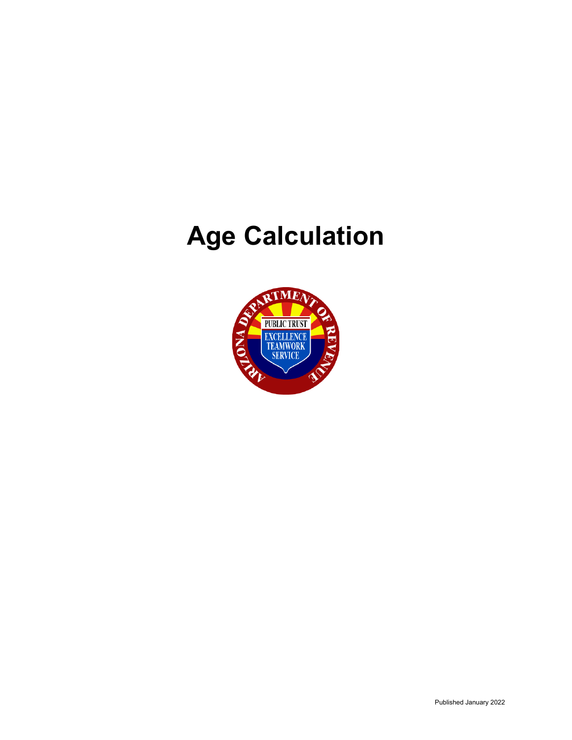# **Age Calculation**

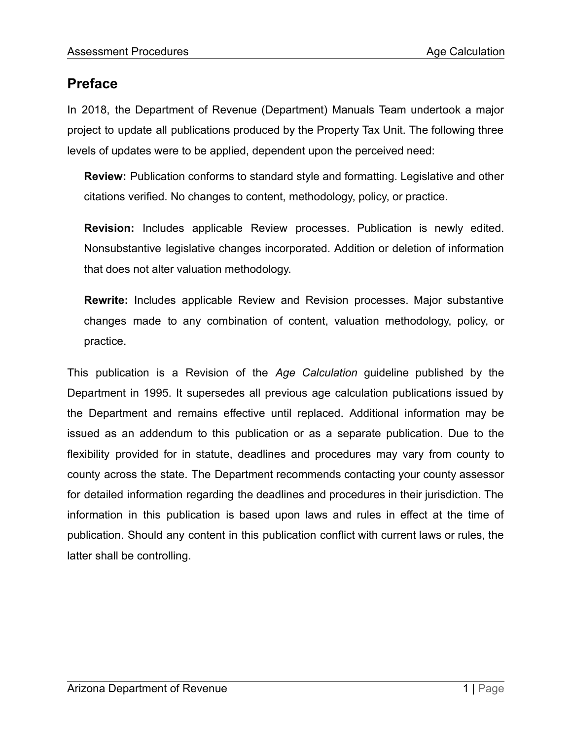# **Preface**

In 2018, the Department of Revenue (Department) Manuals Team undertook a major project to update all publications produced by the Property Tax Unit. The following three levels of updates were to be applied, dependent upon the perceived need:

**Review:** Publication conforms to standard style and formatting. Legislative and other citations verified. No changes to content, methodology, policy, or practice.

**Revision:** Includes applicable Review processes. Publication is newly edited. Nonsubstantive legislative changes incorporated. Addition or deletion of information that does not alter valuation methodology.

**Rewrite:** Includes applicable Review and Revision processes. Major substantive changes made to any combination of content, valuation methodology, policy, or practice.

This publication is a Revision of the *Age Calculation* guideline published by the Department in 1995. It supersedes all previous age calculation publications issued by the Department and remains effective until replaced. Additional information may be issued as an addendum to this publication or as a separate publication. Due to the flexibility provided for in statute, deadlines and procedures may vary from county to county across the state. The Department recommends contacting your county assessor for detailed information regarding the deadlines and procedures in their jurisdiction. The information in this publication is based upon laws and rules in effect at the time of publication. Should any content in this publication conflict with current laws or rules, the latter shall be controlling.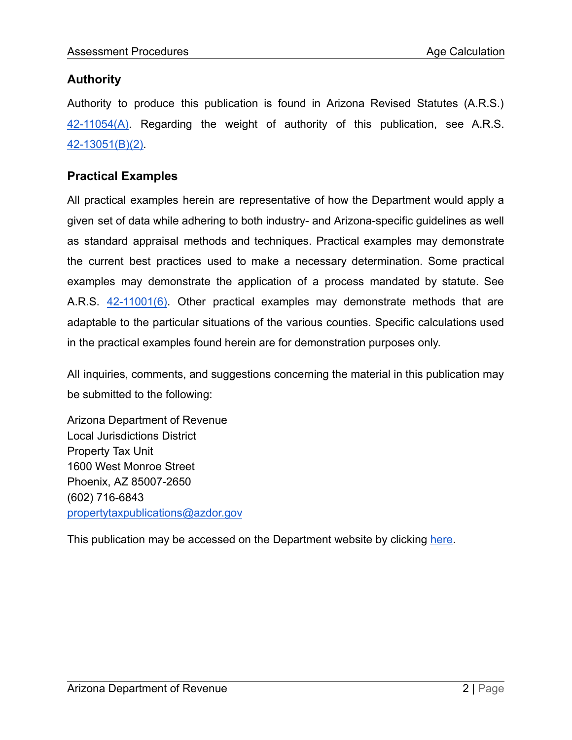## **Authority**

Authority to produce this publication is found in Arizona Revised Statutes (A.R.S.) [42-11054\(A\).](https://www.azleg.gov/viewdocument/?docName=https://www.azleg.gov/ars/42/11054.htm) Regarding the weight of authority of this publication, see A.R.S. [42-13051\(B\)\(2\).](https://www.azleg.gov/viewdocument/?docName=https://www.azleg.gov/ars/42/13051.htm)

## **Practical Examples**

All practical examples herein are representative of how the Department would apply a given set of data while adhering to both industry- and Arizona-specific guidelines as well as standard appraisal methods and techniques. Practical examples may demonstrate the current best practices used to make a necessary determination. Some practical examples may demonstrate the application of a process mandated by statute. See A.R.S. [42-11001\(6\).](https://www.azleg.gov/viewdocument/?docName=https://www.azleg.gov/ars/42/11001.htm) Other practical examples may demonstrate methods that are adaptable to the particular situations of the various counties. Specific calculations used in the practical examples found herein are for demonstration purposes only.

All inquiries, comments, and suggestions concerning the material in this publication may be submitted to the following:

Arizona Department of Revenue Local Jurisdictions District Property Tax Unit 1600 West Monroe Street Phoenix, AZ 85007-2650 (602) 716-6843 [propertytaxpublications@azdor.gov](mailto:personalpropertyunit@azdor.gov)

This publication may be accessed on the Department website by clicking [here.](https://azdor.gov/sites/default/files/media/PROPERTY_AgeCalculation.pdf)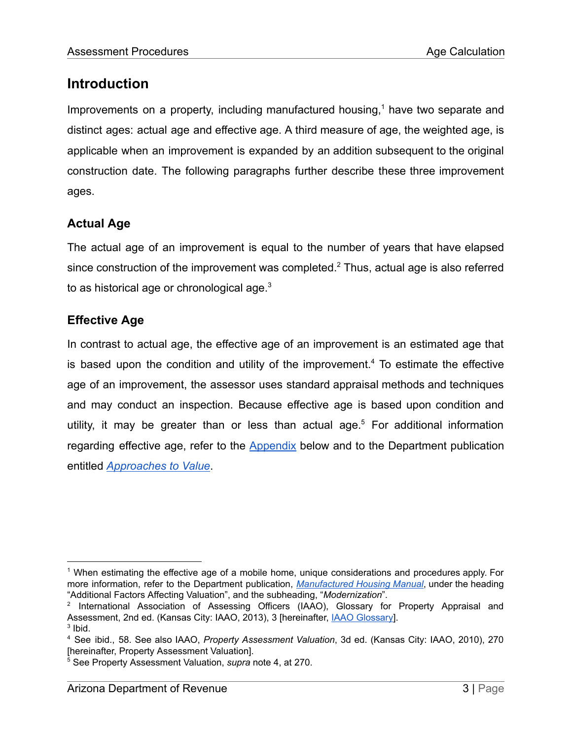# **Introduction**

Improvements on a property, including manufactured housing,<sup>1</sup> have two separate and distinct ages: actual age and effective age. A third measure of age, the weighted age, is applicable when an improvement is expanded by an addition subsequent to the original construction date. The following paragraphs further describe these three improvement ages.

# **Actual Age**

The actual age of an improvement is equal to the number of years that have elapsed since construction of the improvement was completed. $2$  Thus, actual age is also referred to as historical age or chronological age. $3$ 

## **Effective Age**

In contrast to actual age, the effective age of an improvement is an estimated age that is based upon the condition and utility of the improvement.<sup>4</sup> To estimate the effective age of an improvement, the assessor uses standard appraisal methods and techniques and may conduct an inspection. Because effective age is based upon condition and utility, it may be greater than or less than actual age.<sup>5</sup> For additional information regarding effective age, refer to the [Appendix](#page-15-0) below and to the Department publication entitled *[Approaches to Value](https://azdor.gov/sites/default/files/media/PROPERTY_AssessmentPart2Ch1.pdf)*.

<sup>1</sup> When estimating the effective age of a mobile home, unique considerations and procedures apply. For more information, refer to the Department publication, *[Manufactured](https://azdor.gov/sites/default/files/media/PROPERTY_ManufacturedHousingManual.pdf) Housing Manual*, under the heading "Additional Factors Affecting Valuation", and the subheading, "*Modernization*".

 $2$  International Association of Assessing Officers (IAAO), Glossary for Property Appraisal and Assessment, 2nd ed. (Kansas City: IAAO, 2013), 3 [hereinafter, IAAO [Glossary\]](https://www.iaao.org/media/Pubs/IAAO_GLOSSARY.pdf).

 $3$  lbid.

<sup>4</sup> See ibid., 58. See also IAAO, *Property Assessment Valuation*, 3d ed. (Kansas City: IAAO, 2010), 270 [hereinafter, Property Assessment Valuation].

<sup>5</sup> See Property Assessment Valuation, *supra* note 4, at 270.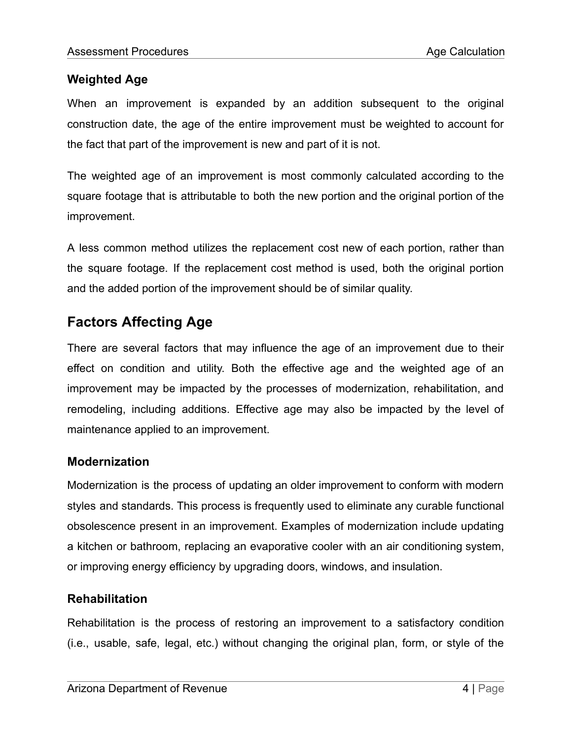## **Weighted Age**

When an improvement is expanded by an addition subsequent to the original construction date, the age of the entire improvement must be weighted to account for the fact that part of the improvement is new and part of it is not.

The weighted age of an improvement is most commonly calculated according to the square footage that is attributable to both the new portion and the original portion of the improvement.

A less common method utilizes the replacement cost new of each portion, rather than the square footage. If the replacement cost method is used, both the original portion and the added portion of the improvement should be of similar quality.

# **Factors Affecting Age**

There are several factors that may influence the age of an improvement due to their effect on condition and utility. Both the effective age and the weighted age of an improvement may be impacted by the processes of modernization, rehabilitation, and remodeling, including additions. Effective age may also be impacted by the level of maintenance applied to an improvement.

## **Modernization**

Modernization is the process of updating an older improvement to conform with modern styles and standards. This process is frequently used to eliminate any curable functional obsolescence present in an improvement. Examples of modernization include updating a kitchen or bathroom, replacing an evaporative cooler with an air conditioning system, or improving energy efficiency by upgrading doors, windows, and insulation.

#### **Rehabilitation**

Rehabilitation is the process of restoring an improvement to a satisfactory condition (i.e., usable, safe, legal, etc.) without changing the original plan, form, or style of the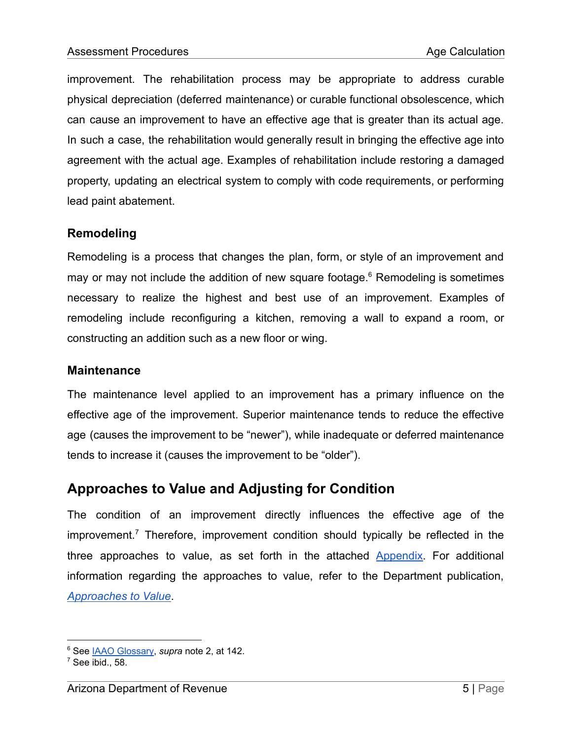improvement. The rehabilitation process may be appropriate to address curable physical depreciation (deferred maintenance) or curable functional obsolescence, which can cause an improvement to have an effective age that is greater than its actual age. In such a case, the rehabilitation would generally result in bringing the effective age into agreement with the actual age. Examples of rehabilitation include restoring a damaged property, updating an electrical system to comply with code requirements, or performing lead paint abatement.

## **Remodeling**

Remodeling is a process that changes the plan, form, or style of an improvement and may or may not include the addition of new square footage. $6$  Remodeling is sometimes necessary to realize the highest and best use of an improvement. Examples of remodeling include reconfiguring a kitchen, removing a wall to expand a room, or constructing an addition such as a new floor or wing.

#### **Maintenance**

The maintenance level applied to an improvement has a primary influence on the effective age of the improvement. Superior maintenance tends to reduce the effective age (causes the improvement to be "newer"), while inadequate or deferred maintenance tends to increase it (causes the improvement to be "older").

# **Approaches to Value and Adjusting for Condition**

The condition of an improvement directly influences the effective age of the improvement.<sup>7</sup> Therefore, improvement condition should typically be reflected in the three approaches to value, as set forth in the attached [Appendix.](#page-15-0) For additional information regarding the approaches to value, refer to the Department publication, *[Approaches to Value](https://azdor.gov/sites/default/files/media/PROPERTY_AssessmentPart2Ch1.pdf)*.

<sup>6</sup> See IAAO [Glossary,](https://www.iaao.org/media/Pubs/IAAO_GLOSSARY.pdf) *supra* note 2, at 142.

 $<sup>7</sup>$  See ibid., 58.</sup>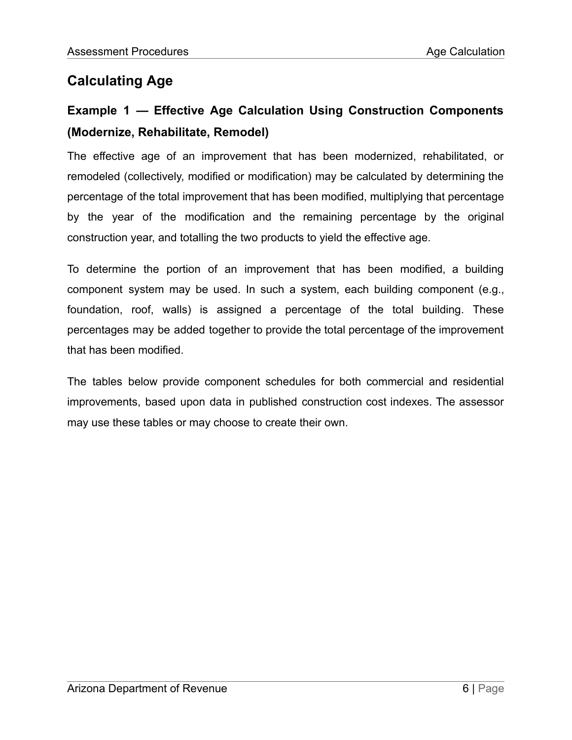# **Calculating Age**

# **Example 1 — Effective Age Calculation Using Construction Components (Modernize, Rehabilitate, Remodel)**

The effective age of an improvement that has been modernized, rehabilitated, or remodeled (collectively, modified or modification) may be calculated by determining the percentage of the total improvement that has been modified, multiplying that percentage by the year of the modification and the remaining percentage by the original construction year, and totalling the two products to yield the effective age.

To determine the portion of an improvement that has been modified, a building component system may be used. In such a system, each building component (e.g., foundation, roof, walls) is assigned a percentage of the total building. These percentages may be added together to provide the total percentage of the improvement that has been modified.

The tables below provide component schedules for both commercial and residential improvements, based upon data in published construction cost indexes. The assessor may use these tables or may choose to create their own.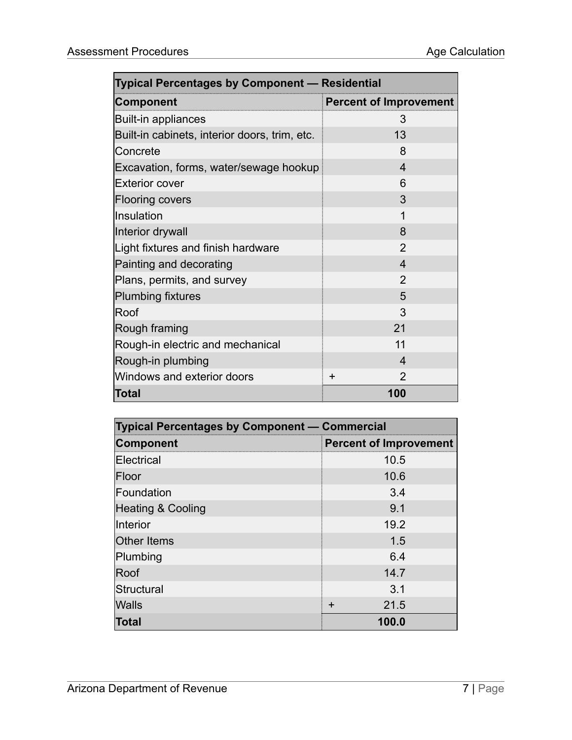| <b>Typical Percentages by Component - Residential</b> |                               |  |
|-------------------------------------------------------|-------------------------------|--|
| <b>Component</b>                                      | <b>Percent of Improvement</b> |  |
| <b>Built-in appliances</b>                            | 3                             |  |
| Built-in cabinets, interior doors, trim, etc.         | 13                            |  |
| Concrete                                              | 8                             |  |
| Excavation, forms, water/sewage hookup                | $\overline{4}$                |  |
| <b>Exterior cover</b>                                 | 6                             |  |
| <b>Flooring covers</b>                                | 3                             |  |
| Insulation                                            | $\mathbf 1$                   |  |
| Interior drywall                                      | 8                             |  |
| Light fixtures and finish hardware                    | $\overline{2}$                |  |
| Painting and decorating                               | $\overline{\mathcal{A}}$      |  |
| Plans, permits, and survey                            | $\overline{2}$                |  |
| <b>Plumbing fixtures</b>                              | 5                             |  |
| Roof                                                  | 3                             |  |
| Rough framing                                         | 21                            |  |
| Rough-in electric and mechanical                      | 11                            |  |
| Rough-in plumbing                                     | $\overline{4}$                |  |
| Windows and exterior doors                            | $\mathcal{P}$<br>$\pm$        |  |
| <b>Total</b>                                          | 100                           |  |

| <b>Typical Percentages by Component - Commercial</b> |                               |  |
|------------------------------------------------------|-------------------------------|--|
| <b>Component</b>                                     | <b>Percent of Improvement</b> |  |
| Electrical                                           | 10.5                          |  |
| Floor                                                | 10.6                          |  |
| Foundation                                           | 3.4                           |  |
| <b>Heating &amp; Cooling</b>                         | 9.1                           |  |
| Interior                                             | 19.2                          |  |
| <b>Other Items</b>                                   | 1.5                           |  |
| Plumbing                                             | 6.4                           |  |
| Roof                                                 | 14.7                          |  |
| Structural                                           | 3.1                           |  |
| <b>Walls</b>                                         | 21.5<br>$\div$                |  |
| Total                                                | 100.0                         |  |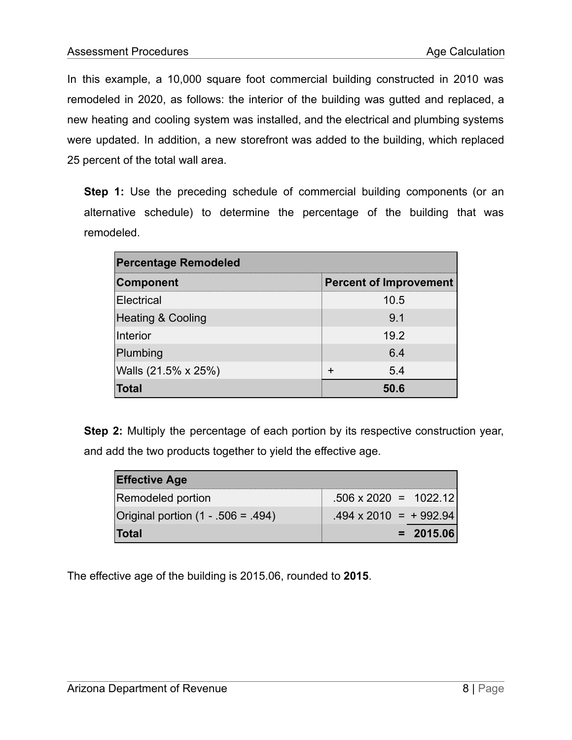In this example, a 10,000 square foot commercial building constructed in 2010 was remodeled in 2020, as follows: the interior of the building was gutted and replaced, a new heating and cooling system was installed, and the electrical and plumbing systems were updated. In addition, a new storefront was added to the building, which replaced 25 percent of the total wall area.

**Step 1:** Use the preceding schedule of commercial building components (or an alternative schedule) to determine the percentage of the building that was remodeled.

| <b>Percentage Remodeled</b>  |                               |  |
|------------------------------|-------------------------------|--|
| Component                    | <b>Percent of Improvement</b> |  |
| Electrical                   | 10.5                          |  |
| <b>Heating &amp; Cooling</b> | 9.1                           |  |
| Interior                     | 19.2                          |  |
| Plumbing                     | 6.4                           |  |
| Walls (21.5% x 25%)          | 5.4<br>÷                      |  |
| Total                        | 50.6                          |  |

**Step 2:** Multiply the percentage of each portion by its respective construction year, and add the two products together to yield the effective age.

| <b>Effective Age</b>               |                              |
|------------------------------------|------------------------------|
| Remodeled portion                  | $.506 \times 2020 = 1022.12$ |
| Original portion (1 - .506 = .494) | $.494 \times 2010 = +992.94$ |
| <b>Total</b>                       | $= 2015.06$                  |

The effective age of the building is 2015.06, rounded to **2015**.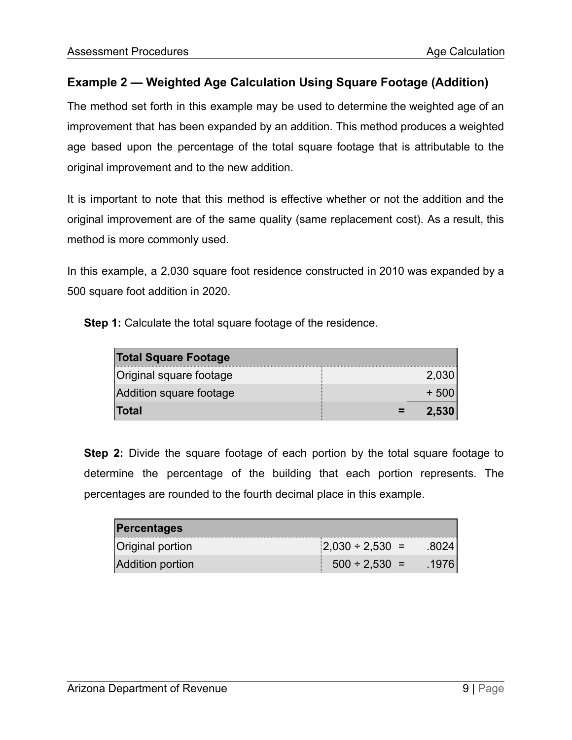# **Example 2 — Weighted Age Calculation Using Square Footage (Addition)**

The method set forth in this example may be used to determine the weighted age of an improvement that has been expanded by an addition. This method produces a weighted age based upon the percentage of the total square footage that is attributable to the original improvement and to the new addition.

It is important to note that this method is effective whether or not the addition and the original improvement are of the same quality (same replacement cost). As a result, this method is more commonly used.

In this example, a 2,030 square foot residence constructed in 2010 was expanded by a 500 square foot addition in 2020.

**Step 1:** Calculate the total square footage of the residence.

| <b>Total Square Footage</b> |       |
|-----------------------------|-------|
| Original square footage     | 2,030 |
| Addition square footage     |       |
| Total                       | 2.530 |

**Step 2:** Divide the square footage of each portion by the total square footage to determine the percentage of the building that each portion represents. The percentages are rounded to the fourth decimal place in this example.

| <b>Percentages</b>      |                       |        |
|-------------------------|-----------------------|--------|
| <b>Original portion</b> | $ 2,030 \div 2,530 =$ | .80241 |
| <b>Addition portion</b> | $500 \div 2,530 =$    | .1976  |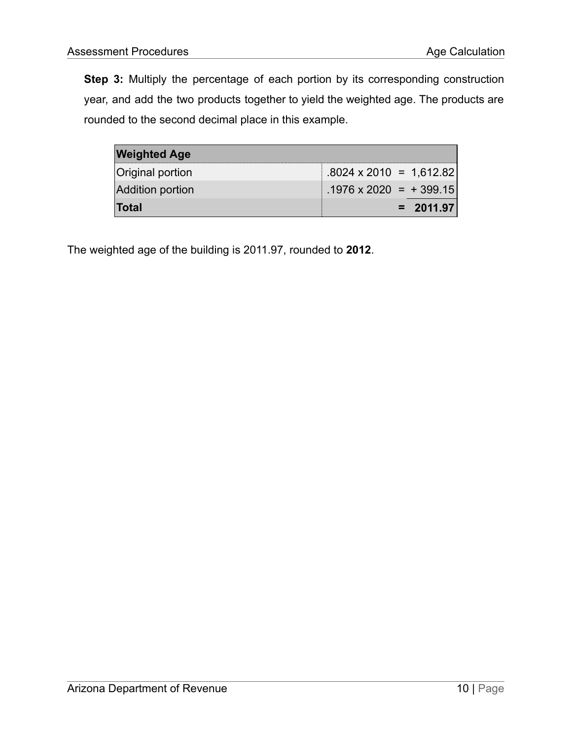**Step 3:** Multiply the percentage of each portion by its corresponding construction year, and add the two products together to yield the weighted age. The products are rounded to the second decimal place in this example.

| <b>Weighted Age</b>     |                                |
|-------------------------|--------------------------------|
| <b>Original portion</b> | $.8024 \times 2010 = 1,612.82$ |
| <b>Addition portion</b> | $.1976 \times 2020 = +399.15$  |
| ∣Total                  | $= 2011.97$                    |

The weighted age of the building is 2011.97, rounded to **2012**.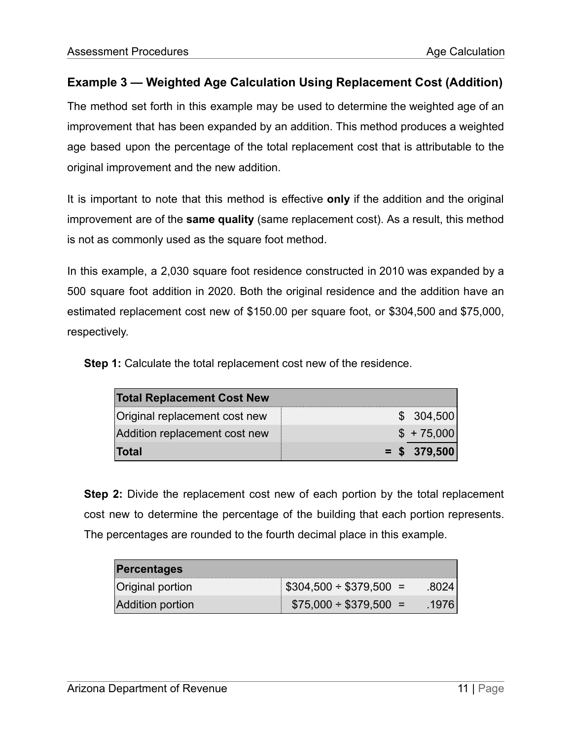# **Example 3 — Weighted Age Calculation Using Replacement Cost (Addition)**

The method set forth in this example may be used to determine the weighted age of an improvement that has been expanded by an addition. This method produces a weighted age based upon the percentage of the total replacement cost that is attributable to the original improvement and the new addition.

It is important to note that this method is effective **only** if the addition and the original improvement are of the **same quality** (same replacement cost). As a result, this method is not as commonly used as the square foot method.

In this example, a 2,030 square foot residence constructed in 2010 was expanded by a 500 square foot addition in 2020. Both the original residence and the addition have an estimated replacement cost new of \$150.00 per square foot, or \$304,500 and \$75,000, respectively.

**Step 1:** Calculate the total replacement cost new of the residence.

| <b>Total Replacement Cost New</b> |                |  |
|-----------------------------------|----------------|--|
| Original replacement cost new     | \$ 304,500     |  |
| Addition replacement cost new     | $$+75,000$     |  |
| Total                             | $=$ \$ 379,500 |  |

**Step 2:** Divide the replacement cost new of each portion by the total replacement cost new to determine the percentage of the building that each portion represents. The percentages are rounded to the fourth decimal place in this example.

| <b>Percentages</b>      |                                       |       |
|-------------------------|---------------------------------------|-------|
| <b>Original portion</b> | $\frac{1}{2}$ \$304,500 ÷ \$379,500 = |       |
| <b>Addition portion</b> | $$75,000 \div $379,500 =$             | -1976 |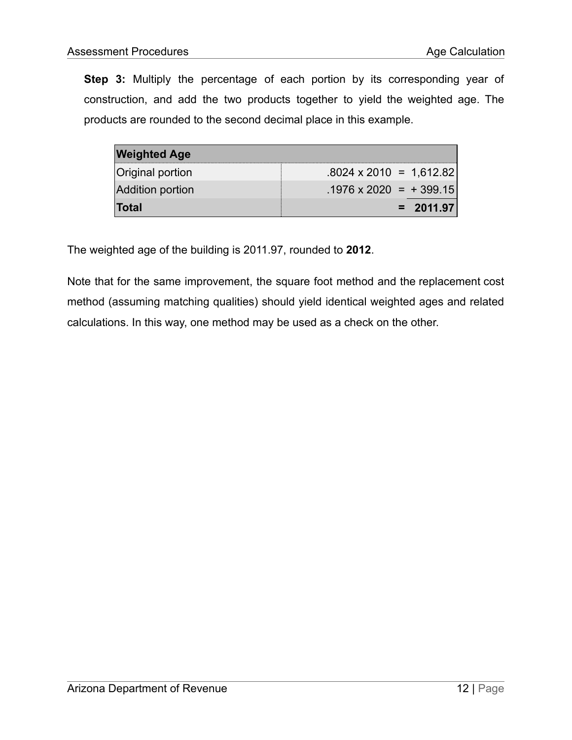**Step 3:** Multiply the percentage of each portion by its corresponding year of construction, and add the two products together to yield the weighted age. The products are rounded to the second decimal place in this example.

| <b>Weighted Age</b> |                                |
|---------------------|--------------------------------|
| Original portion    | $.8024 \times 2010 = 1.612.82$ |
| Addition portion    | $.1976 \times 2020 = +399.15$  |
| <b>Total</b>        | $= 2011.97$                    |

The weighted age of the building is 2011.97, rounded to **2012**.

Note that for the same improvement, the square foot method and the replacement cost method (assuming matching qualities) should yield identical weighted ages and related calculations. In this way, one method may be used as a check on the other.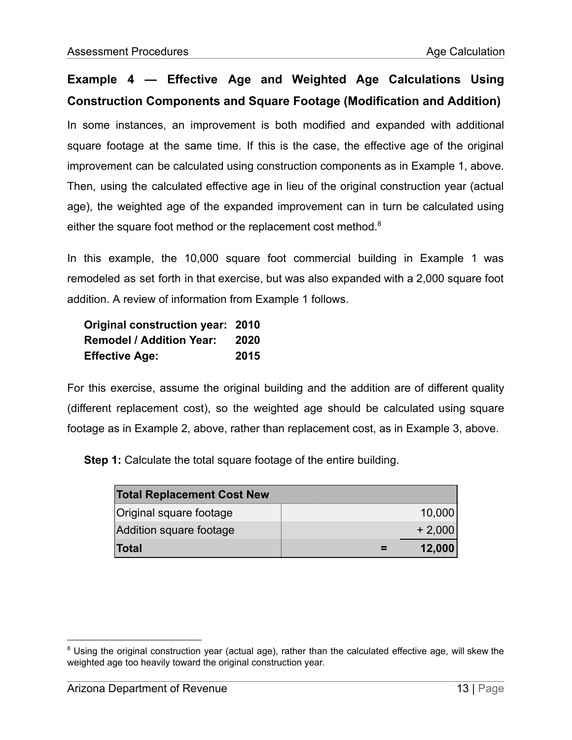# **Example 4 — Effective Age and Weighted Age Calculations Using Construction Components and Square Footage (Modification and Addition)**

In some instances, an improvement is both modified and expanded with additional square footage at the same time. If this is the case, the effective age of the original improvement can be calculated using construction components as in Example 1, above. Then, using the calculated effective age in lieu of the original construction year (actual age), the weighted age of the expanded improvement can in turn be calculated using either the square foot method or the replacement cost method.<sup>8</sup>

In this example, the 10,000 square foot commercial building in Example 1 was remodeled as set forth in that exercise, but was also expanded with a 2,000 square foot addition. A review of information from Example 1 follows.

| Original construction year: 2010 |      |
|----------------------------------|------|
| <b>Remodel / Addition Year:</b>  | 2020 |
| <b>Effective Age:</b>            | 2015 |

For this exercise, assume the original building and the addition are of different quality (different replacement cost), so the weighted age should be calculated using square footage as in Example 2, above, rather than replacement cost, as in Example 3, above.

**Step 1:** Calculate the total square footage of the entire building.

| <b>Total Replacement Cost New</b> |          |
|-----------------------------------|----------|
| Original square footage           | 10,000   |
| Addition square footage           | $+2,000$ |
| <b>Total</b>                      | 12,000   |

<sup>&</sup>lt;sup>8</sup> Using the original construction year (actual age), rather than the calculated effective age, will skew the weighted age too heavily toward the original construction year.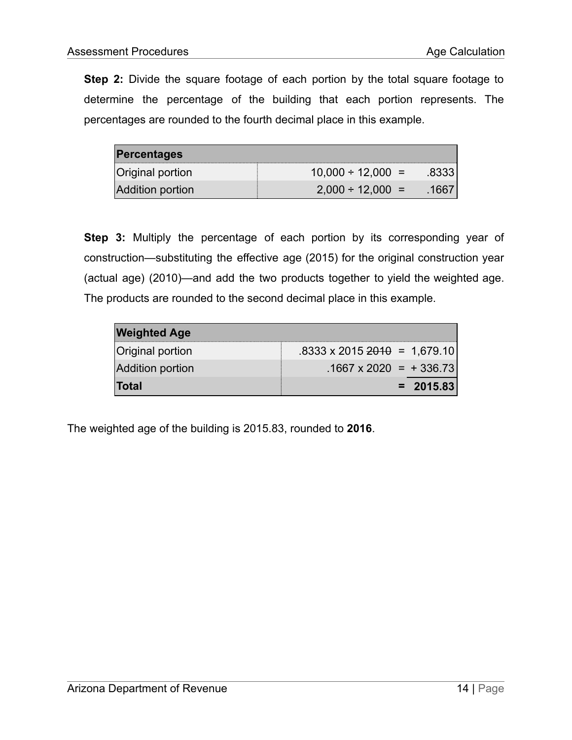**Step 2:** Divide the square footage of each portion by the total square footage to determine the percentage of the building that each portion represents. The percentages are rounded to the fourth decimal place in this example.

| <b>Percentages</b>      |                        |        |
|-------------------------|------------------------|--------|
| <b>Original portion</b> | $10,000 \div 12,000 =$ | .83331 |
| <b>Addition portion</b> | $2,000 \div 12,000 =$  | 1667   |

**Step 3:** Multiply the percentage of each portion by its corresponding year of construction—substituting the effective age (2015) for the original construction year (actual age) (2010)—and add the two products together to yield the weighted age. The products are rounded to the second decimal place in this example.

| <b>Weighted Age</b>     |                                                  |
|-------------------------|--------------------------------------------------|
| <b>Original portion</b> | $.8333 \times 2015 \frac{2010}{2010} = 1,679.10$ |
| <b>Addition portion</b> | $.1667 \times 2020$ = + 336.73                   |
| <b>Total</b>            | $= 2015.83$                                      |

The weighted age of the building is 2015.83, rounded to **2016**.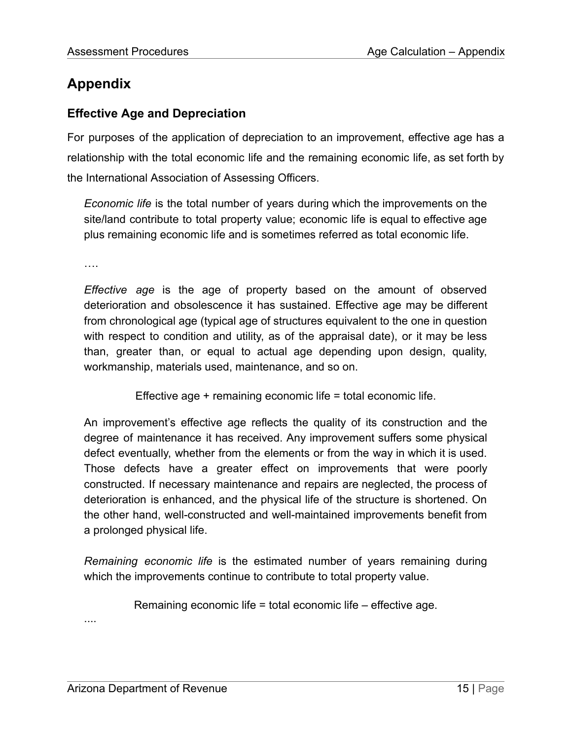# <span id="page-15-0"></span>**Appendix**

# **Effective Age and Depreciation**

For purposes of the application of depreciation to an improvement, effective age has a relationship with the total economic life and the remaining economic life, as set forth by the International Association of Assessing Officers.

*Economic life* is the total number of years during which the improvements on the site/land contribute to total property value; economic life is equal to effective age plus remaining economic life and is sometimes referred as total economic life.

….

*Effective age* is the age of property based on the amount of observed deterioration and obsolescence it has sustained. Effective age may be different from chronological age (typical age of structures equivalent to the one in question with respect to condition and utility, as of the appraisal date), or it may be less than, greater than, or equal to actual age depending upon design, quality, workmanship, materials used, maintenance, and so on.

Effective age + remaining economic life = total economic life.

An improvement's effective age reflects the quality of its construction and the degree of maintenance it has received. Any improvement suffers some physical defect eventually, whether from the elements or from the way in which it is used. Those defects have a greater effect on improvements that were poorly constructed. If necessary maintenance and repairs are neglected, the process of deterioration is enhanced, and the physical life of the structure is shortened. On the other hand, well-constructed and well-maintained improvements benefit from a prolonged physical life.

*Remaining economic life* is the estimated number of years remaining during which the improvements continue to contribute to total property value.

Remaining economic life  $=$  total economic life  $-$  effective age.

....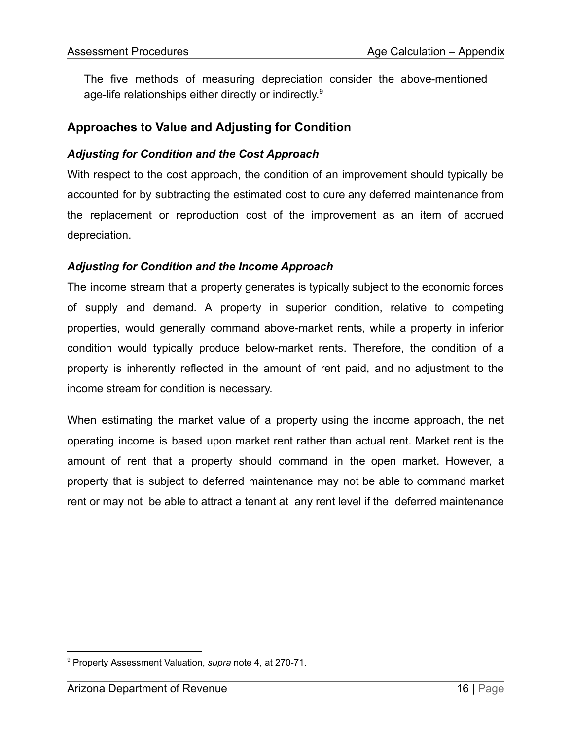The five methods of measuring depreciation consider the above-mentioned age-life relationships either directly or indirectly. $^9$ 

# **Approaches to Value and Adjusting for Condition**

#### *Adjusting for Condition and the Cost Approach*

With respect to the cost approach, the condition of an improvement should typically be accounted for by subtracting the estimated cost to cure any deferred maintenance from the replacement or reproduction cost of the improvement as an item of accrued depreciation.

#### *Adjusting for Condition and the Income Approach*

The income stream that a property generates is typically subject to the economic forces of supply and demand. A property in superior condition, relative to competing properties, would generally command above-market rents, while a property in inferior condition would typically produce below-market rents. Therefore, the condition of a property is inherently reflected in the amount of rent paid, and no adjustment to the income stream for condition is necessary.

When estimating the market value of a property using the income approach, the net operating income is based upon market rent rather than actual rent. Market rent is the amount of rent that a property should command in the open market. However, a property that is subject to deferred maintenance may not be able to command market rent or may not be able to attract a tenant at any rent level if the deferred maintenance

<sup>9</sup> Property Assessment Valuation, *supra* note 4, at 270-71.